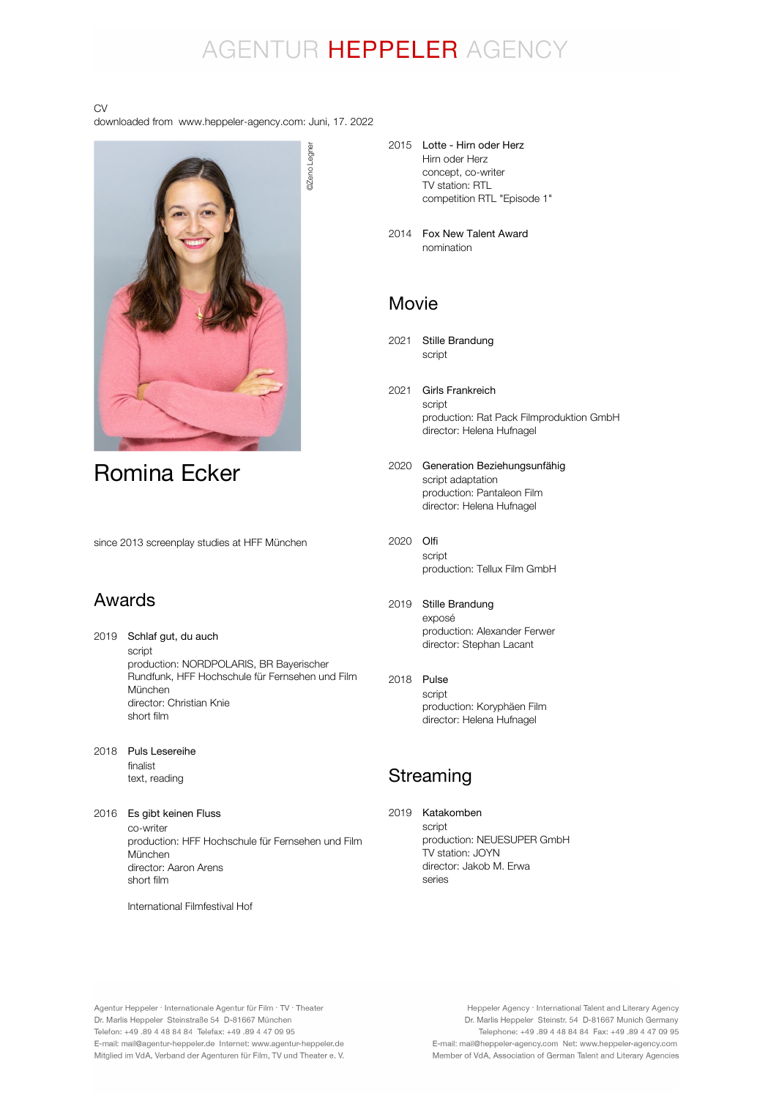## AGENTUR HEPPELER AGENCY

#### CV

downloaded from www.heppeler-agency.com: Juni, 17. 2022



Romina Ecker

since 2013 screenplay studies at HFF München

### Awards

- 2019 Schlaf gut, du auch script production: NORDPOLARIS, BR Bayerischer Rundfunk, HFF Hochschule für Fernsehen und Film München director: Christian Knie short film
- 2018 Puls Lesereihe finalist text, reading
- 2016 Es gibt keinen Fluss co-writer production: HFF Hochschule für Fernsehen und Film München director: Aaron Arens short film

International Filmfestival Hof

- 2015 Lotte Hirn oder Herz Hirn oder Herz concept, co-writer TV station: RTL competition RTL "Episode 1"
- 2014 Fox New Talent Award nomination

### Movie

- 2021 Stille Brandung script
- 2021 Girls Frankreich script production: Rat Pack Filmproduktion GmbH director: Helena Hufnagel
- 2020 Generation Beziehungsunfähig script adaptation production: Pantaleon Film director: Helena Hufnagel
- 2020 Olfi script production: Tellux Film GmbH
- 2019 Stille Brandung exposé production: Alexander Ferwer director: Stephan Lacant
- 2018 Pulse script production: Koryphäen Film director: Helena Hufnagel

### Streaming

2019 Katakombenscript production: NEUESUPER GmbH TV station: JOYN director: Jakob M. Erwa series